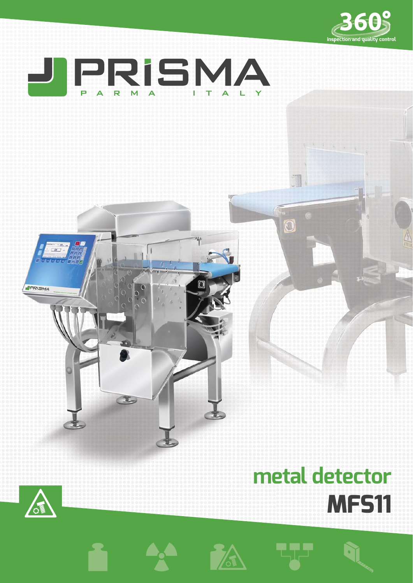



# **metal detector MFS11**